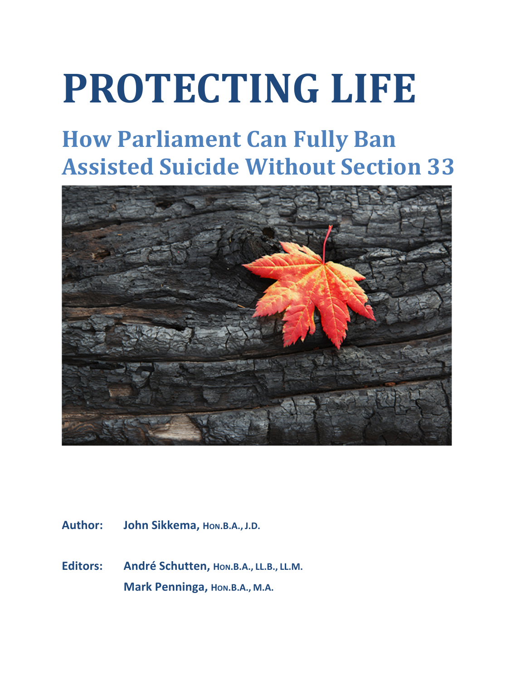# **PROTECTING LIFE**

# **How Parliament Can Fully Ban Assisted Suicide Without Section 33**



Author: **John Sikkema, HON.B.A., J.D.** 

**Editors: André Schutten, HON.B.A., LL.B., LL.M. Mark Penninga, Hon.B.A., M.A.**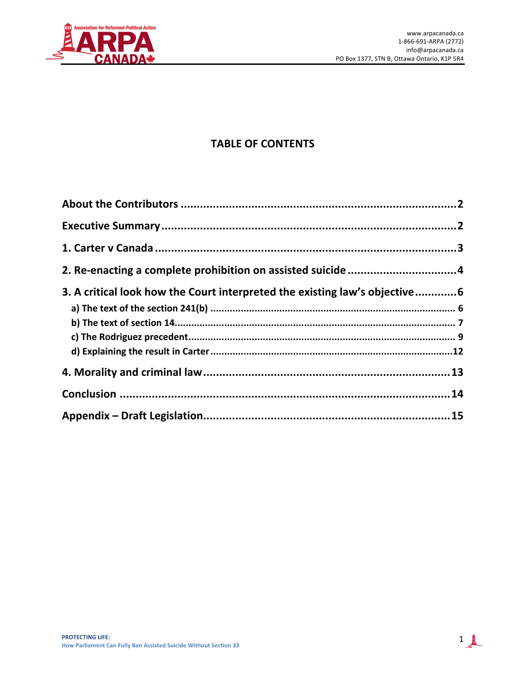

# **TABLE OF CONTENTS**

| 2. Re-enacting a complete prohibition on assisted suicide 4                |  |
|----------------------------------------------------------------------------|--|
| 3. A critical look how the Court interpreted the existing law's objective6 |  |
|                                                                            |  |
|                                                                            |  |
|                                                                            |  |
|                                                                            |  |
|                                                                            |  |
|                                                                            |  |
|                                                                            |  |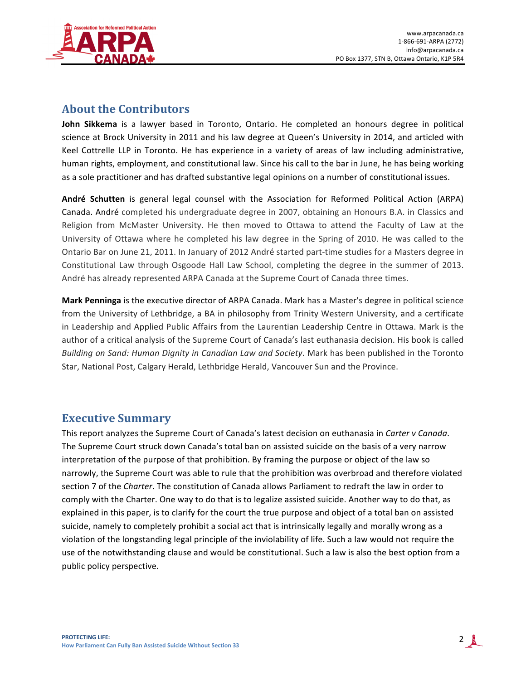

## **About the Contributors**

**John Sikkema** is a lawyer based in Toronto, Ontario. He completed an honours degree in political science at Brock University in 2011 and his law degree at Queen's University in 2014, and articled with Keel Cottrelle LLP in Toronto. He has experience in a variety of areas of law including administrative, human rights, employment, and constitutional law. Since his call to the bar in June, he has being working as a sole practitioner and has drafted substantive legal opinions on a number of constitutional issues.

André Schutten is general legal counsel with the Association for Reformed Political Action (ARPA) Canada. André completed his undergraduate degree in 2007, obtaining an Honours B.A. in Classics and Religion from McMaster University. He then moved to Ottawa to attend the Faculty of Law at the University of Ottawa where he completed his law degree in the Spring of 2010. He was called to the Ontario Bar on June 21, 2011. In January of 2012 André started part-time studies for a Masters degree in Constitutional Law through Osgoode Hall Law School, completing the degree in the summer of 2013. André has already represented ARPA Canada at the Supreme Court of Canada three times.

**Mark Penninga** is the executive director of ARPA Canada. Mark has a Master's degree in political science from the University of Lethbridge, a BA in philosophy from Trinity Western University, and a certificate in Leadership and Applied Public Affairs from the Laurentian Leadership Centre in Ottawa. Mark is the author of a critical analysis of the Supreme Court of Canada's last euthanasia decision. His book is called *Building on Sand: Human Dignity in Canadian Law and Society*. Mark has been published in the Toronto Star, National Post, Calgary Herald, Lethbridge Herald, Vancouver Sun and the Province.

## **Executive Summary**

This report analyzes the Supreme Court of Canada's latest decision on euthanasia in *Carter v Canada*. The Supreme Court struck down Canada's total ban on assisted suicide on the basis of a very narrow interpretation of the purpose of that prohibition. By framing the purpose or object of the law so narrowly, the Supreme Court was able to rule that the prohibition was overbroad and therefore violated section 7 of the *Charter*. The constitution of Canada allows Parliament to redraft the law in order to comply with the Charter. One way to do that is to legalize assisted suicide. Another way to do that, as explained in this paper, is to clarify for the court the true purpose and object of a total ban on assisted suicide, namely to completely prohibit a social act that is intrinsically legally and morally wrong as a violation of the longstanding legal principle of the inviolability of life. Such a law would not require the use of the notwithstanding clause and would be constitutional. Such a law is also the best option from a public policy perspective.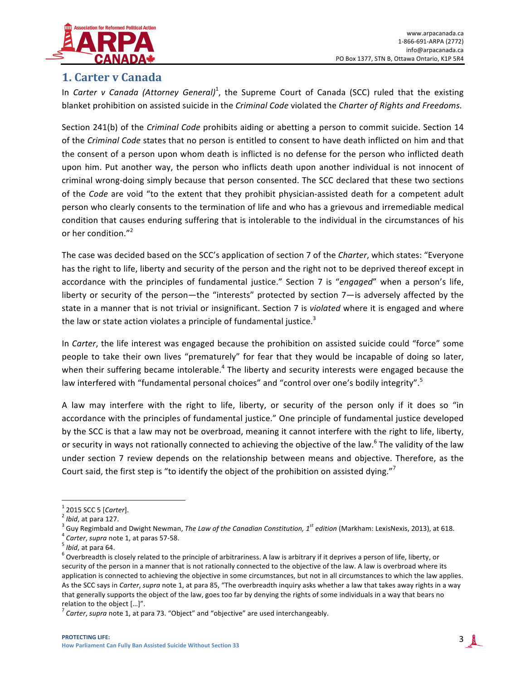

## **1. Carter v Canada**

In *Carter v Canada (Attorney General)*<sup>1</sup>, the Supreme Court of Canada (SCC) ruled that the existing blanket prohibition on assisted suicide in the *Criminal Code* violated the *Charter of Rights and Freedoms.* 

Section 241(b) of the *Criminal Code* prohibits aiding or abetting a person to commit suicide. Section 14 of the *Criminal Code* states that no person is entitled to consent to have death inflicted on him and that the consent of a person upon whom death is inflicted is no defense for the person who inflicted death upon him. Put another way, the person who inflicts death upon another individual is not innocent of criminal wrong-doing simply because that person consented. The SCC declared that these two sections of the *Code* are void "to the extent that they prohibit physician-assisted death for a competent adult person who clearly consents to the termination of life and who has a grievous and irremediable medical condition that causes enduring suffering that is intolerable to the individual in the circumstances of his or her condition."<sup>2</sup>

The case was decided based on the SCC's application of section 7 of the *Charter*, which states: "Everyone has the right to life, liberty and security of the person and the right not to be deprived thereof except in accordance with the principles of fundamental justice." Section 7 is "engaged" when a person's life, liberty or security of the person—the "interests" protected by section 7—is adversely affected by the state in a manner that is not trivial or insignificant. Section 7 is *violated* where it is engaged and where the law or state action violates a principle of fundamental justice.<sup>3</sup>

In *Carter*, the life interest was engaged because the prohibition on assisted suicide could "force" some people to take their own lives "prematurely" for fear that they would be incapable of doing so later, when their suffering became intolerable.<sup>4</sup> The liberty and security interests were engaged because the law interfered with "fundamental personal choices" and "control over one's bodily integrity".<sup>5</sup>

A law may interfere with the right to life, liberty, or security of the person only if it does so "in accordance with the principles of fundamental justice." One principle of fundamental justice developed by the SCC is that a law may not be overbroad, meaning it cannot interfere with the right to life, liberty, or security in ways not rationally connected to achieving the objective of the law.<sup>6</sup> The validity of the law under section 7 review depends on the relationship between means and objective. Therefore, as the Court said, the first step is "to identify the object of the prohibition on assisted dying."

<sup>&</sup>lt;sup>1</sup> 2015 SCC 5 [*Carter*].<br><sup>2</sup> Ibid, at para 127.<br><sup>3</sup> Guy Regimbald and Dwight Newman, *The Law of the Canadian Constitution*, 1<sup>st</sup> edition (Markham: LexisNexis, 2013), at 618.<br><sup>5</sup> Ibid, at para 64.<br><sup>5</sup> Ibid, at para 64.

security of the person in a manner that is not rationally connected to the objective of the law. A law is overbroad where its application is connected to achieving the objective in some circumstances, but not in all circumstances to which the law applies. As the SCC says in *Carter, supra* note 1, at para 85, "The overbreadth inquiry asks whether a law that takes away rights in a way that generally supports the object of the law, goes too far by denying the rights of some individuals in a way that bears no relation to the object [...]".

<sup>&</sup>lt;sup>'</sup> Carter, supra note 1, at para 73. "Object" and "objective" are used interchangeably.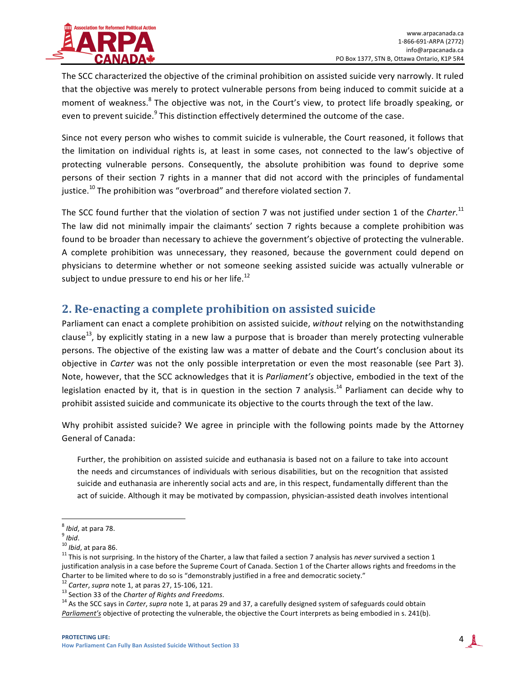

The SCC characterized the objective of the criminal prohibition on assisted suicide very narrowly. It ruled that the objective was merely to protect vulnerable persons from being induced to commit suicide at a moment of weakness.<sup>8</sup> The objective was not, in the Court's view, to protect life broadly speaking, or even to prevent suicide.<sup>9</sup> This distinction effectively determined the outcome of the case.

Since not every person who wishes to commit suicide is vulnerable, the Court reasoned, it follows that the limitation on individual rights is, at least in some cases, not connected to the law's objective of protecting vulnerable persons. Consequently, the absolute prohibition was found to deprive some persons of their section 7 rights in a manner that did not accord with the principles of fundamental justice.<sup>10</sup> The prohibition was "overbroad" and therefore violated section 7.

The SCC found further that the violation of section 7 was not justified under section 1 of the *Charter*.<sup>11</sup> The law did not minimally impair the claimants' section 7 rights because a complete prohibition was found to be broader than necessary to achieve the government's objective of protecting the vulnerable. A complete prohibition was unnecessary, they reasoned, because the government could depend on physicians to determine whether or not someone seeking assisted suicide was actually vulnerable or subject to undue pressure to end his or her life.<sup>12</sup>

#### **2. Re-enacting a complete prohibition on assisted suicide**

Parliament can enact a complete prohibition on assisted suicide, without relying on the notwithstanding clause<sup>13</sup>, by explicitly stating in a new law a purpose that is broader than merely protecting vulnerable persons. The objective of the existing law was a matter of debate and the Court's conclusion about its objective in *Carter* was not the only possible interpretation or even the most reasonable (see Part 3). Note, however, that the SCC acknowledges that it is *Parliament's* objective, embodied in the text of the legislation enacted by it, that is in question in the section 7 analysis.<sup>14</sup> Parliament can decide why to prohibit assisted suicide and communicate its objective to the courts through the text of the law.

Why prohibit assisted suicide? We agree in principle with the following points made by the Attorney General of Canada:

Further, the prohibition on assisted suicide and euthanasia is based not on a failure to take into account the needs and circumstances of individuals with serious disabilities, but on the recognition that assisted suicide and euthanasia are inherently social acts and are, in this respect, fundamentally different than the act of suicide. Although it may be motivated by compassion, physician-assisted death involves intentional

<sup>&</sup>lt;sup>8</sup> *Ibid*, at para 78.<br><sup>9</sup> *Ibid.*<br><sup>10</sup> *Ibid*, at para 86. 11 This is not surprising. In the history of the Charter, a law that failed a section 7 analysis has *never* survived a section 1 justification analysis in a case before the Supreme Court of Canada. Section 1 of the Charter allows rights and freedoms in the Charter to be limited where to do so is "demonstrably justified in a free and democratic society."<br><sup>12</sup> Carter, supra note 1, at paras 27, 15-106, 121.<br><sup>13</sup> Section 33 of the Charter of Rights and Freedoms.<br><sup>14</sup> As the SCC

Parliament's objective of protecting the vulnerable, the objective the Court interprets as being embodied in s. 241(b).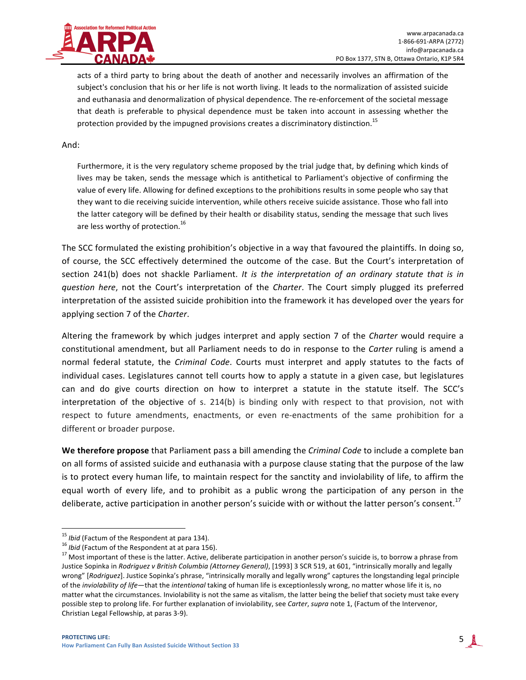

acts of a third party to bring about the death of another and necessarily involves an affirmation of the subject's conclusion that his or her life is not worth living. It leads to the normalization of assisted suicide and euthanasia and denormalization of physical dependence. The re-enforcement of the societal message that death is preferable to physical dependence must be taken into account in assessing whether the protection provided by the impugned provisions creates a discriminatory distinction.<sup>15</sup>

#### And:

Furthermore, it is the very regulatory scheme proposed by the trial judge that, by defining which kinds of lives may be taken, sends the message which is antithetical to Parliament's objective of confirming the value of every life. Allowing for defined exceptions to the prohibitions results in some people who say that they want to die receiving suicide intervention, while others receive suicide assistance. Those who fall into the latter category will be defined by their health or disability status, sending the message that such lives are less worthy of protection.<sup>16</sup>

The SCC formulated the existing prohibition's objective in a way that favoured the plaintiffs. In doing so, of course, the SCC effectively determined the outcome of the case. But the Court's interpretation of section 241(b) does not shackle Parliament. It is the interpretation of an ordinary statute that is in *question here*, not the Court's interpretation of the *Charter*. The Court simply plugged its preferred interpretation of the assisted suicide prohibition into the framework it has developed over the years for applying section 7 of the *Charter*.

Altering the framework by which judges interpret and apply section 7 of the *Charter* would require a constitutional amendment, but all Parliament needs to do in response to the *Carter* ruling is amend a normal federal statute, the *Criminal Code*. Courts must interpret and apply statutes to the facts of individual cases. Legislatures cannot tell courts how to apply a statute in a given case, but legislatures can and do give courts direction on how to interpret a statute in the statute itself. The SCC's interpretation of the objective of s. 214(b) is binding only with respect to that provision, not with respect to future amendments, enactments, or even re-enactments of the same prohibition for a different or broader purpose.

**We therefore propose** that Parliament pass a bill amending the *Criminal Code* to include a complete ban on all forms of assisted suicide and euthanasia with a purpose clause stating that the purpose of the law is to protect every human life, to maintain respect for the sanctity and inviolability of life, to affirm the equal worth of every life, and to prohibit as a public wrong the participation of any person in the deliberate, active participation in another person's suicide with or without the latter person's consent.<sup>17</sup>

<sup>&</sup>lt;sup>15</sup> *Ibid* (Factum of the Respondent at para 134).<br><sup>16</sup> *Ibid* (Factum of the Respondent at at para 156).<br><sup>17</sup> Most important of these is the latter. Active, deliberate participation in another person's suicide is, to bo Justice Sopinka in *Rodriguez v British Columbia (Attorney General)*, [1993] 3 SCR 519, at 601, "intrinsically morally and legally wrong" [*Rodriguez*]. Justice Sopinka's phrase, "intrinsically morally and legally wrong" captures the longstanding legal principle of the *inviolability* of life—that the *intentional* taking of human life is exceptionlessly wrong, no matter whose life it is, no matter what the circumstances. Inviolability is not the same as vitalism, the latter being the belief that society must take every possible step to prolong life. For further explanation of inviolability, see *Carter*, *supra* note 1, (Factum of the Intervenor, Christian Legal Fellowship, at paras 3-9).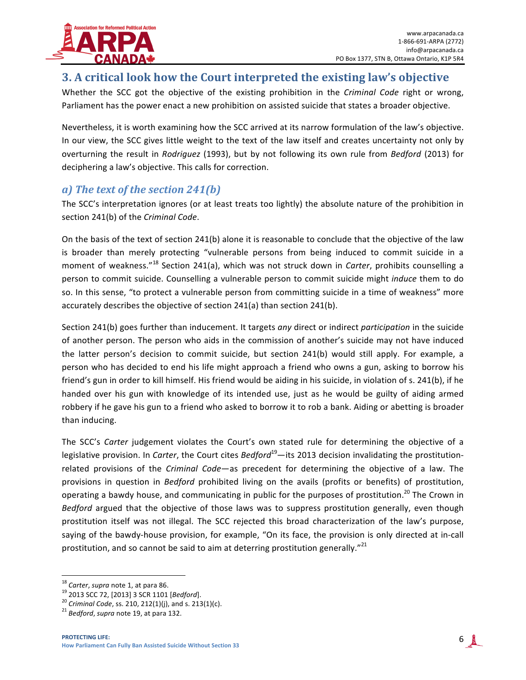

# **3. A critical look how the Court interpreted the existing law's objective**

Whether the SCC got the objective of the existing prohibition in the *Criminal Code* right or wrong, Parliament has the power enact a new prohibition on assisted suicide that states a broader objective.

Nevertheless, it is worth examining how the SCC arrived at its narrow formulation of the law's objective. In our view, the SCC gives little weight to the text of the law itself and creates uncertainty not only by overturning the result in *Rodriguez* (1993), but by not following its own rule from *Bedford* (2013) for deciphering a law's objective. This calls for correction.

#### *a*) The text of the section 241(b)

The SCC's interpretation ignores (or at least treats too lightly) the absolute nature of the prohibition in section 241(b) of the *Criminal Code*.

On the basis of the text of section 241(b) alone it is reasonable to conclude that the objective of the law is broader than merely protecting "vulnerable persons from being induced to commit suicide in a moment of weakness."<sup>18</sup> Section 241(a), which was not struck down in *Carter*, prohibits counselling a person to commit suicide. Counselling a vulnerable person to commit suicide might *induce* them to do so. In this sense, "to protect a vulnerable person from committing suicide in a time of weakness" more accurately describes the objective of section  $241(a)$  than section  $241(b)$ .

Section 241(b) goes further than inducement. It targets *any* direct or indirect *participation* in the suicide of another person. The person who aids in the commission of another's suicide may not have induced the latter person's decision to commit suicide, but section 241(b) would still apply. For example, a person who has decided to end his life might approach a friend who owns a gun, asking to borrow his friend's gun in order to kill himself. His friend would be aiding in his suicide, in violation of s. 241(b), if he handed over his gun with knowledge of its intended use, just as he would be guilty of aiding armed robbery if he gave his gun to a friend who asked to borrow it to rob a bank. Aiding or abetting is broader than inducing.

The SCC's *Carter* judgement violates the Court's own stated rule for determining the objective of a legislative provision. In *Carter*, the Court cites *Bedford*<sup>19</sup>—its 2013 decision invalidating the prostitutionrelated provisions of the *Criminal Code*—as precedent for determining the objective of a law. The provisions in question in *Bedford* prohibited living on the avails (profits or benefits) of prostitution, operating a bawdy house, and communicating in public for the purposes of prostitution.<sup>20</sup> The Crown in *Bedford* argued that the objective of those laws was to suppress prostitution generally, even though prostitution itself was not illegal. The SCC rejected this broad characterization of the law's purpose, saying of the bawdy-house provision, for example, "On its face, the provision is only directed at in-call prostitution, and so cannot be said to aim at deterring prostitution generally."<sup>21</sup>

<sup>&</sup>lt;sup>18</sup> *Carter, supra* note 1, at para 86.<br><sup>19</sup> 2013 SCC 72, [2013] 3 SCR 1101 [*Bedford*].<br><sup>20</sup> *Criminal Code,* ss. 210, 212(1)(j), and s. 213(1)(c).<br><sup>21</sup> *Bedford, supra* note 19, at para 132.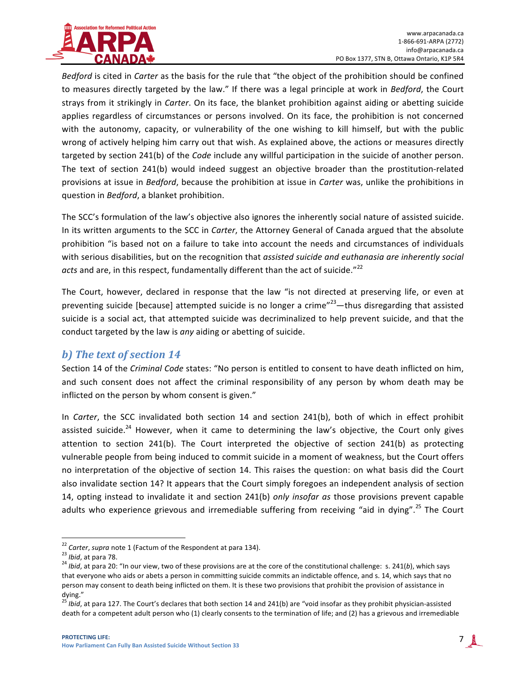

*Bedford* is cited in *Carter* as the basis for the rule that "the object of the prohibition should be confined to measures directly targeted by the law." If there was a legal principle at work in *Bedford*, the Court strays from it strikingly in *Carter*. On its face, the blanket prohibition against aiding or abetting suicide applies regardless of circumstances or persons involved. On its face, the prohibition is not concerned with the autonomy, capacity, or vulnerability of the one wishing to kill himself, but with the public wrong of actively helping him carry out that wish. As explained above, the actions or measures directly targeted by section 241(b) of the *Code* include any willful participation in the suicide of another person. The text of section 241(b) would indeed suggest an objective broader than the prostitution-related provisions at issue in *Bedford*, because the prohibition at issue in *Carter* was, unlike the prohibitions in question in *Bedford*, a blanket prohibition.

The SCC's formulation of the law's objective also ignores the inherently social nature of assisted suicide. In its written arguments to the SCC in *Carter*, the Attorney General of Canada argued that the absolute prohibition "is based not on a failure to take into account the needs and circumstances of individuals with serious disabilities, but on the recognition that *assisted suicide and euthanasia are inherently social* acts and are, in this respect, fundamentally different than the act of suicide."<sup>22</sup>

The Court, however, declared in response that the law "is not directed at preserving life, or even at preventing suicide [because] attempted suicide is no longer a crime"<sup>23</sup>—thus disregarding that assisted suicide is a social act, that attempted suicide was decriminalized to help prevent suicide, and that the conduct targeted by the law is any aiding or abetting of suicide.

#### *b)* The text of section 14

Section 14 of the *Criminal Code* states: "No person is entitled to consent to have death inflicted on him, and such consent does not affect the criminal responsibility of any person by whom death may be inflicted on the person by whom consent is given."

In *Carter*, the SCC invalidated both section 14 and section 241(b), both of which in effect prohibit assisted suicide.<sup>24</sup> However, when it came to determining the law's objective, the Court only gives attention to section 241(b). The Court interpreted the objective of section 241(b) as protecting vulnerable people from being induced to commit suicide in a moment of weakness, but the Court offers no interpretation of the objective of section 14. This raises the question: on what basis did the Court also invalidate section 14? It appears that the Court simply foregoes an independent analysis of section 14, opting instead to invalidate it and section 241(b) *only insofar as* those provisions prevent capable adults who experience grievous and irremediable suffering from receiving "aid in dying".<sup>25</sup> The Court

<sup>&</sup>lt;sup>22</sup> Carter, supra note 1 (Factum of the Respondent at para 134).<br><sup>23</sup> Ibid, at para 78.<br><sup>24</sup> Ibid, at para 20: "In our view, two of these provisions are at the core of the constitutional challenge: s. 241(b), which says that everyone who aids or abets a person in committing suicide commits an indictable offence, and s. 14, which says that no person may consent to death being inflicted on them. It is these two provisions that prohibit the provision of assistance in dying."

<sup>&</sup>lt;sup>25</sup> *Ibid*, at para 127. The Court's declares that both section 14 and 241(b) are "void insofar as they prohibit physician-assisted death for a competent adult person who (1) clearly consents to the termination of life; and (2) has a grievous and irremediable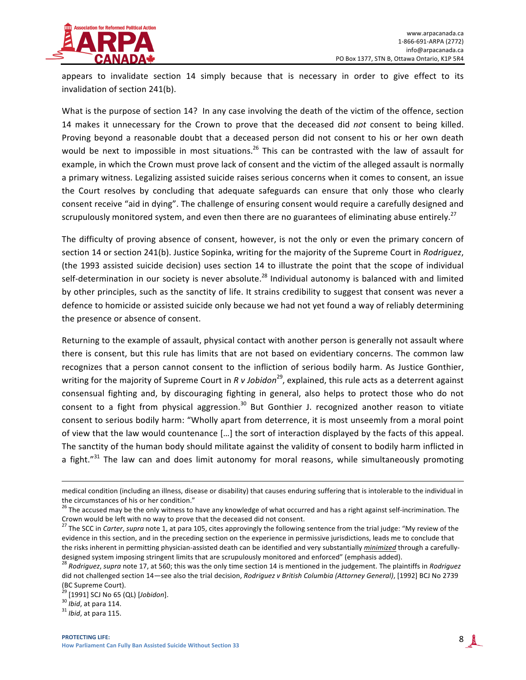

appears to invalidate section 14 simply because that is necessary in order to give effect to its invalidation of section 241(b).

What is the purpose of section 14? In any case involving the death of the victim of the offence, section 14 makes it unnecessary for the Crown to prove that the deceased did *not* consent to being killed. Proving beyond a reasonable doubt that a deceased person did not consent to his or her own death would be next to impossible in most situations.<sup>26</sup> This can be contrasted with the law of assault for example, in which the Crown must prove lack of consent and the victim of the alleged assault is normally a primary witness. Legalizing assisted suicide raises serious concerns when it comes to consent, an issue the Court resolves by concluding that adequate safeguards can ensure that only those who clearly consent receive "aid in dying". The challenge of ensuring consent would require a carefully designed and scrupulously monitored system, and even then there are no guarantees of eliminating abuse entirely.<sup>27</sup>

The difficulty of proving absence of consent, however, is not the only or even the primary concern of section 14 or section 241(b). Justice Sopinka, writing for the majority of the Supreme Court in *Rodriguez*, (the 1993 assisted suicide decision) uses section 14 to illustrate the point that the scope of individual self-determination in our society is never absolute.<sup>28</sup> Individual autonomy is balanced with and limited by other principles, such as the sanctity of life. It strains credibility to suggest that consent was never a defence to homicide or assisted suicide only because we had not yet found a way of reliably determining the presence or absence of consent.

Returning to the example of assault, physical contact with another person is generally not assault where there is consent, but this rule has limits that are not based on evidentiary concerns. The common law recognizes that a person cannot consent to the infliction of serious bodily harm. As Justice Gonthier, writing for the majority of Supreme Court in *R* v Jobidon<sup>29</sup>, explained, this rule acts as a deterrent against consensual fighting and, by discouraging fighting in general, also helps to protect those who do not consent to a fight from physical aggression.<sup>30</sup> But Gonthier J. recognized another reason to vitiate consent to serious bodily harm: "Wholly apart from deterrence, it is most unseemly from a moral point of view that the law would countenance [...] the sort of interaction displayed by the facts of this appeal. The sanctity of the human body should militate against the validity of consent to bodily harm inflicted in a fight."<sup>31</sup> The law can and does limit autonomy for moral reasons, while simultaneously promoting

<sup>&</sup>lt;u> 1989 - Johann Stoff, amerikansk politiker (d. 1989)</u> medical condition (including an illness, disease or disability) that causes enduring suffering that is intolerable to the individual in

the circumstances of his or her condition."<br><sup>26</sup> The accused may be the only witness to have any knowledge of what occurred and has a right against self-incrimination. The Crown would be left with no way to prove that the deceased did not consent.

<sup>&</sup>lt;sup>27</sup> The SCC in *Carter, supra* note 1, at para 105, cites approvingly the following sentence from the trial judge: "My review of the evidence in this section, and in the preceding section on the experience in permissive jurisdictions, leads me to conclude that the risks inherent in permitting physician-assisted death can be identified and very substantially *minimized* through a carefullydesigned system imposing stringent limits that are scrupulously monitored and enforced" (emphasis added).

<sup>&</sup>lt;sup>28</sup> *Rodriguez, supra* note 17, at 560; this was the only time section 14 is mentioned in the judgement. The plaintiffs in *Rodriguez* did not challenged section 14—see also the trial decision, *Rodriguez v British Columbia (Attorney General)*, [1992] BCJ No 2739 (BC Supreme Court).

<sup>&</sup>lt;sup>29</sup> [1991] SCJ No 65 (QL) [*Jobidon*].<br><sup>30</sup> *Ibid*, at para 114.<br><sup>31</sup> *Ibid*, at para 115.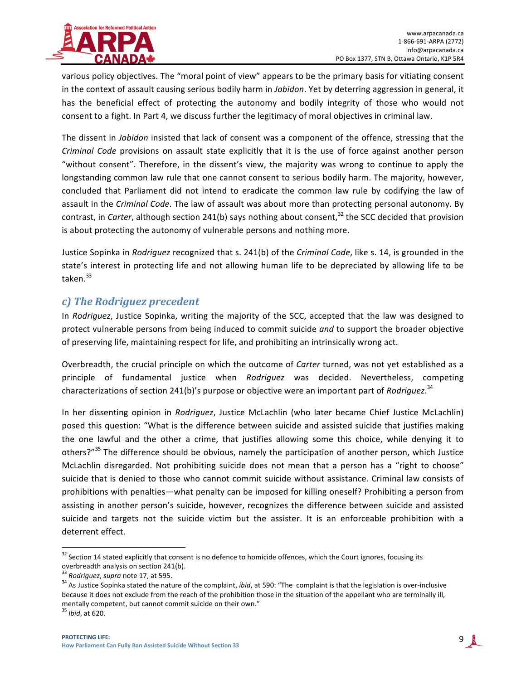

various policy objectives. The "moral point of view" appears to be the primary basis for vitiating consent in the context of assault causing serious bodily harm in *Jobidon*. Yet by deterring aggression in general, it has the beneficial effect of protecting the autonomy and bodily integrity of those who would not consent to a fight. In Part 4, we discuss further the legitimacy of moral objectives in criminal law.

The dissent in *Jobidon* insisted that lack of consent was a component of the offence, stressing that the *Criminal Code* provisions on assault state explicitly that it is the use of force against another person "without consent". Therefore, in the dissent's view, the majority was wrong to continue to apply the longstanding common law rule that one cannot consent to serious bodily harm. The majority, however, concluded that Parliament did not intend to eradicate the common law rule by codifying the law of assault in the *Criminal Code*. The law of assault was about more than protecting personal autonomy. By contrast, in *Carter*, although section 241(b) says nothing about consent,<sup>32</sup> the SCC decided that provision is about protecting the autonomy of vulnerable persons and nothing more.

Justice Sopinka in *Rodriguez* recognized that s. 241(b) of the *Criminal Code*, like s. 14, is grounded in the state's interest in protecting life and not allowing human life to be depreciated by allowing life to be taken. 33

#### *c) The Rodriguez precedent*

In *Rodriguez*, Justice Sopinka, writing the majority of the SCC, accepted that the law was designed to protect vulnerable persons from being induced to commit suicide *and* to support the broader objective of preserving life, maintaining respect for life, and prohibiting an intrinsically wrong act.

Overbreadth, the crucial principle on which the outcome of *Carter* turned, was not yet established as a principle of fundamental justice when *Rodriguez* was decided. Nevertheless, competing characterizations of section 241(b)'s purpose or objective were an important part of *Rodriguez*.<sup>34</sup>

In her dissenting opinion in *Rodriguez*, Justice McLachlin (who later became Chief Justice McLachlin) posed this question: "What is the difference between suicide and assisted suicide that justifies making the one lawful and the other a crime, that justifies allowing some this choice, while denying it to others?"<sup>35</sup> The difference should be obvious, namely the participation of another person, which Justice McLachlin disregarded. Not prohibiting suicide does not mean that a person has a "right to choose" suicide that is denied to those who cannot commit suicide without assistance. Criminal law consists of prohibitions with penalties—what penalty can be imposed for killing oneself? Prohibiting a person from assisting in another person's suicide, however, recognizes the difference between suicide and assisted suicide and targets not the suicide victim but the assister. It is an enforceable prohibition with a deterrent effect.

 $32$  Section 14 stated explicitly that consent is no defence to homicide offences, which the Court ignores, focusing its

overbreadth analysis on section 241(b).<br> $33$  Rodriquez, supra note 17, at 595.

<sup>&</sup>lt;sup>34</sup> As Justice Sopinka stated the nature of the complaint, *ibid*, at 590: "The complaint is that the legislation is over-inclusive because it does not exclude from the reach of the prohibition those in the situation of the appellant who are terminally ill, mentally competent, but cannot commit suicide on their own."

<sup>&</sup>lt;sup>35</sup> *Ibid*, at 620.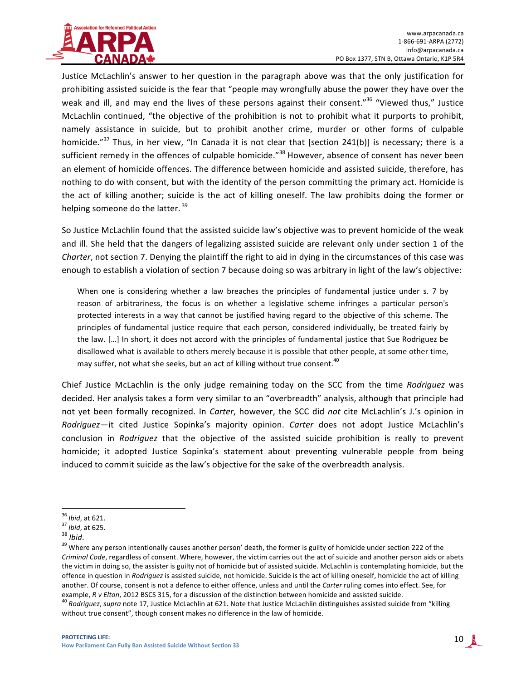

Justice McLachlin's answer to her question in the paragraph above was that the only justification for prohibiting assisted suicide is the fear that "people may wrongfully abuse the power they have over the weak and ill, and may end the lives of these persons against their consent."<sup>36</sup> "Viewed thus," Justice McLachlin continued, "the objective of the prohibition is not to prohibit what it purports to prohibit, namely assistance in suicide, but to prohibit another crime, murder or other forms of culpable homicide."<sup>37</sup> Thus, in her view, "In Canada it is not clear that [section 241(b)] is necessary; there is a sufficient remedy in the offences of culpable homicide."<sup>38</sup> However, absence of consent has never been an element of homicide offences. The difference between homicide and assisted suicide, therefore, has nothing to do with consent, but with the identity of the person committing the primary act. Homicide is the act of killing another; suicide is the act of killing oneself. The law prohibits doing the former or helping someone do the latter.  $39$ 

So Justice McLachlin found that the assisted suicide law's objective was to prevent homicide of the weak and ill. She held that the dangers of legalizing assisted suicide are relevant only under section 1 of the *Charter*, not section 7. Denying the plaintiff the right to aid in dying in the circumstances of this case was enough to establish a violation of section 7 because doing so was arbitrary in light of the law's objective:

When one is considering whether a law breaches the principles of fundamental justice under s. 7 by reason of arbitrariness, the focus is on whether a legislative scheme infringes a particular person's protected interests in a way that cannot be justified having regard to the objective of this scheme. The principles of fundamental justice require that each person, considered individually, be treated fairly by the law. [...] In short, it does not accord with the principles of fundamental justice that Sue Rodriguez be disallowed what is available to others merely because it is possible that other people, at some other time, may suffer, not what she seeks, but an act of killing without true consent.<sup>40</sup>

Chief Justice McLachlin is the only judge remaining today on the SCC from the time *Rodriguez* was decided. Her analysis takes a form very similar to an "overbreadth" analysis, although that principle had not yet been formally recognized. In *Carter*, however, the SCC did *not* cite McLachlin's J.'s opinion in *Rodriguez*—it cited Justice Sopinka's majority opinion. *Carter* does not adopt Justice McLachlin's conclusion in *Rodriguez* that the objective of the assisted suicide prohibition is really to prevent homicide; it adopted Justice Sopinka's statement about preventing vulnerable people from being induced to commit suicide as the law's objective for the sake of the overbreadth analysis.

<sup>&</sup>lt;sup>36</sup> *Ibid*, at 621.<br><sup>37</sup> *Ibid*, at 625.<br><sup>38</sup> *Ibid*.<br><sup>39</sup> Where any person intentionally causes another person' death, the former is guilty of homicide under section 222 of the *Criminal Code*, regardless of consent. Where, however, the victim carries out the act of suicide and another person aids or abets the victim in doing so, the assister is guilty not of homicide but of assisted suicide. McLachlin is contemplating homicide, but the offence in question in *Rodriquez* is assisted suicide, not homicide. Suicide is the act of killing oneself, homicide the act of killing another. Of course, consent is not a defence to either offence, unless and until the *Carter* ruling comes into effect. See, for example, R v Elton, 2012 BSCS 315, for a discussion of the distinction between homicide and a

<sup>&</sup>lt;sup>40</sup> Rodriguez, supra note 17, Justice McLachlin at 621. Note that Justice McLachlin distinguishes assisted suicide from "killing without true consent", though consent makes no difference in the law of homicide.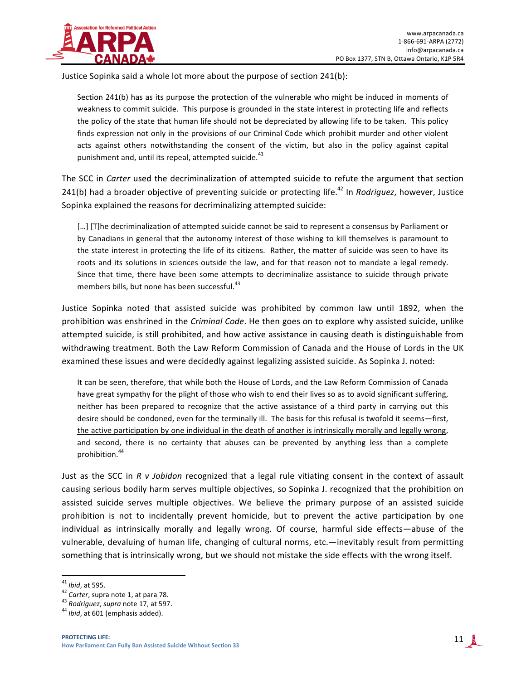

Justice Sopinka said a whole lot more about the purpose of section 241(b):

Section 241(b) has as its purpose the protection of the vulnerable who might be induced in moments of weakness to commit suicide. This purpose is grounded in the state interest in protecting life and reflects the policy of the state that human life should not be depreciated by allowing life to be taken. This policy finds expression not only in the provisions of our Criminal Code which prohibit murder and other violent acts against others notwithstanding the consent of the victim, but also in the policy against capital punishment and, until its repeal, attempted suicide.<sup>41</sup>

The SCC in *Carter* used the decriminalization of attempted suicide to refute the argument that section 241(b) had a broader objective of preventing suicide or protecting life.<sup>42</sup> In *Rodriquez*, however, Justice Sopinka explained the reasons for decriminalizing attempted suicide:

[...] [T]he decriminalization of attempted suicide cannot be said to represent a consensus by Parliament or by Canadians in general that the autonomy interest of those wishing to kill themselves is paramount to the state interest in protecting the life of its citizens. Rather, the matter of suicide was seen to have its roots and its solutions in sciences outside the law, and for that reason not to mandate a legal remedy. Since that time, there have been some attempts to decriminalize assistance to suicide through private members bills, but none has been successful.<sup>43</sup>

Justice Sopinka noted that assisted suicide was prohibited by common law until 1892, when the prohibition was enshrined in the *Criminal Code*. He then goes on to explore why assisted suicide, unlike attempted suicide, is still prohibited, and how active assistance in causing death is distinguishable from withdrawing treatment. Both the Law Reform Commission of Canada and the House of Lords in the UK examined these issues and were decidedly against legalizing assisted suicide. As Sopinka J. noted:

It can be seen, therefore, that while both the House of Lords, and the Law Reform Commission of Canada have great sympathy for the plight of those who wish to end their lives so as to avoid significant suffering, neither has been prepared to recognize that the active assistance of a third party in carrying out this desire should be condoned, even for the terminally ill. The basis for this refusal is twofold it seems—first, the active participation by one individual in the death of another is intrinsically morally and legally wrong, and second, there is no certainty that abuses can be prevented by anything less than a complete prohibition.<sup>44</sup>

Just as the SCC in R v Jobidon recognized that a legal rule vitiating consent in the context of assault causing serious bodily harm serves multiple objectives, so Sopinka J. recognized that the prohibition on assisted suicide serves multiple objectives. We believe the primary purpose of an assisted suicide prohibition is not to incidentally prevent homicide, but to prevent the active participation by one individual as intrinsically morally and legally wrong. Of course, harmful side effects—abuse of the vulnerable, devaluing of human life, changing of cultural norms, etc.—inevitably result from permitting something that is intrinsically wrong, but we should not mistake the side effects with the wrong itself.

<sup>&</sup>lt;sup>41</sup> *Ibid*, at 595.<br><sup>42</sup> *Carter*, supra note 1, at para 78.<br><sup>43</sup> *Rodriguez*, *supra* note 17, at 597.<br><sup>44</sup> *Ibid*, at 601 (emphasis added).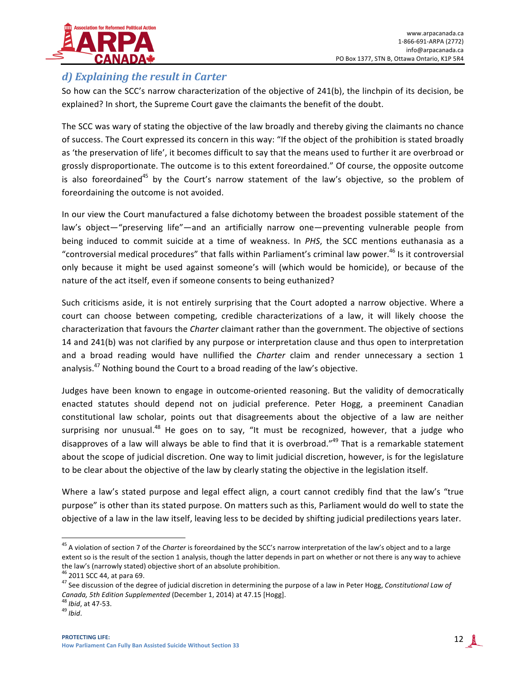

#### *d)* Explaining the result in Carter

So how can the SCC's narrow characterization of the objective of 241(b), the linchpin of its decision, be explained? In short, the Supreme Court gave the claimants the benefit of the doubt.

The SCC was wary of stating the objective of the law broadly and thereby giving the claimants no chance of success. The Court expressed its concern in this way: "If the object of the prohibition is stated broadly as 'the preservation of life', it becomes difficult to say that the means used to further it are overbroad or grossly disproportionate. The outcome is to this extent foreordained." Of course, the opposite outcome is also foreordained<sup>45</sup> by the Court's narrow statement of the law's objective, so the problem of foreordaining the outcome is not avoided.

In our view the Court manufactured a false dichotomy between the broadest possible statement of the law's object—"preserving life"—and an artificially narrow one—preventing vulnerable people from being induced to commit suicide at a time of weakness. In *PHS*, the SCC mentions euthanasia as a "controversial medical procedures" that falls within Parliament's criminal law power.<sup>46</sup> Is it controversial only because it might be used against someone's will (which would be homicide), or because of the nature of the act itself, even if someone consents to being euthanized?

Such criticisms aside, it is not entirely surprising that the Court adopted a narrow objective. Where a court can choose between competing, credible characterizations of a law, it will likely choose the characterization that favours the *Charter* claimant rather than the government. The objective of sections 14 and 241(b) was not clarified by any purpose or interpretation clause and thus open to interpretation and a broad reading would have nullified the *Charter* claim and render unnecessary a section 1 analysis.<sup>47</sup> Nothing bound the Court to a broad reading of the law's objective.

Judges have been known to engage in outcome-oriented reasoning. But the validity of democratically enacted statutes should depend not on judicial preference. Peter Hogg, a preeminent Canadian constitutional law scholar, points out that disagreements about the objective of a law are neither surprising nor unusual.<sup>48</sup> He goes on to say, "It must be recognized, however, that a judge who disapproves of a law will always be able to find that it is overbroad." $49$  That is a remarkable statement about the scope of judicial discretion. One way to limit judicial discretion, however, is for the legislature to be clear about the objective of the law by clearly stating the objective in the legislation itself.

Where a law's stated purpose and legal effect align, a court cannot credibly find that the law's "true purpose" is other than its stated purpose. On matters such as this, Parliament would do well to state the objective of a law in the law itself, leaving less to be decided by shifting judicial predilections years later.

<sup>&</sup>lt;sup>45</sup> A violation of section 7 of the *Charter* is foreordained by the SCC's narrow interpretation of the law's object and to a large extent so is the result of the section 1 analysis, though the latter depends in part on whether or not there is any way to achieve the law's (narrowly stated) objective short of an absolute prohibition.<br><sup>46</sup> 2011 SCC 44, at para 69.<br><sup>47</sup> See discussion of the degree of judicial discretion in determining the purpose of a law in Peter Hogg, Constitution

Canada, 5th Edition Supplemented (December 1, 2014) at 47.15 [Hogg].<br><sup>48</sup> *Ibid*, at 47-53. 49 *Ibid*.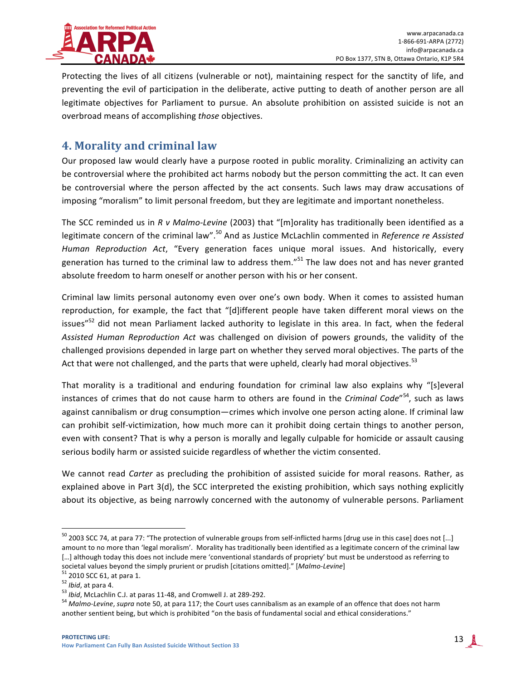

Protecting the lives of all citizens (vulnerable or not), maintaining respect for the sanctity of life, and preventing the evil of participation in the deliberate, active putting to death of another person are all legitimate objectives for Parliament to pursue. An absolute prohibition on assisted suicide is not an overbroad means of accomplishing *those* objectives.

# **4. Morality and criminal law**

Our proposed law would clearly have a purpose rooted in public morality. Criminalizing an activity can be controversial where the prohibited act harms nobody but the person committing the act. It can even be controversial where the person affected by the act consents. Such laws may draw accusations of imposing "moralism" to limit personal freedom, but they are legitimate and important nonetheless.

The SCC reminded us in *R v Malmo-Levine* (2003) that "[m]orality has traditionally been identified as a legitimate concern of the criminal law".<sup>50</sup> And as Justice McLachlin commented in *Reference re Assisted Human Reproduction Act*, "Every generation faces unique moral issues. And historically, every generation has turned to the criminal law to address them."<sup>51</sup> The law does not and has never granted absolute freedom to harm oneself or another person with his or her consent.

Criminal law limits personal autonomy even over one's own body. When it comes to assisted human reproduction, for example, the fact that "[d]ifferent people have taken different moral views on the issues"<sup>52</sup> did not mean Parliament lacked authority to legislate in this area. In fact, when the federal Assisted Human Reproduction Act was challenged on division of powers grounds, the validity of the challenged provisions depended in large part on whether they served moral objectives. The parts of the Act that were not challenged, and the parts that were upheld, clearly had moral objectives.<sup>53</sup>

That morality is a traditional and enduring foundation for criminal law also explains why "[s]everal instances of crimes that do not cause harm to others are found in the *Criminal Code*"<sup>54</sup>, such as laws against cannibalism or drug consumption—crimes which involve one person acting alone. If criminal law can prohibit self-victimization, how much more can it prohibit doing certain things to another person, even with consent? That is why a person is morally and legally culpable for homicide or assault causing serious bodily harm or assisted suicide regardless of whether the victim consented.

We cannot read *Carter* as precluding the prohibition of assisted suicide for moral reasons. Rather, as explained above in Part  $3(d)$ , the SCC interpreted the existing prohibition, which says nothing explicitly about its objective, as being narrowly concerned with the autonomy of vulnerable persons. Parliament

 $50$  2003 SCC 74, at para 77: "The protection of vulnerable groups from self-inflicted harms [drug use in this case] does not [...] amount to no more than 'legal moralism'. Morality has traditionally been identified as a legitimate concern of the criminal law [...] although today this does not include mere 'conventional standards of propriety' but must be understood as referring to societal values beyond the simply prurient or prudish [citations omitted]." [Malmo-Levine]<br><sup>51</sup> 2010 SCC 61, at para 1.<br><sup>52</sup> *Ibid*, at para 4.<br><sup>53</sup> *Ibid*, McLachlin C.J. at paras 11-48, and Cromwell J. at 289-292.<br><sup>54</sup>

another sentient being, but which is prohibited "on the basis of fundamental social and ethical considerations."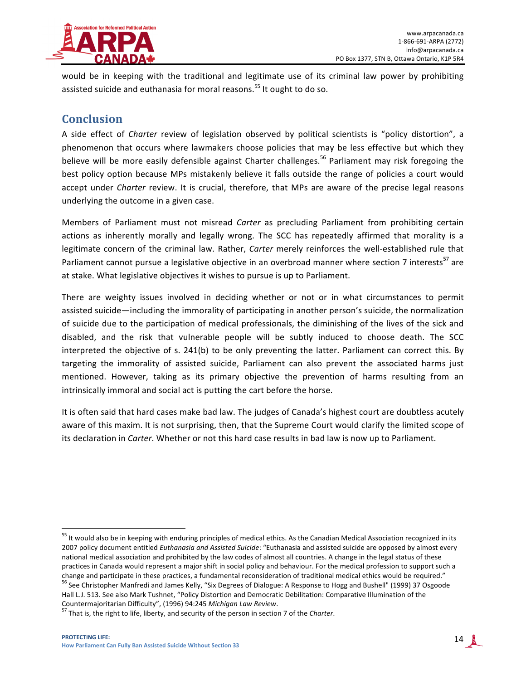

would be in keeping with the traditional and legitimate use of its criminal law power by prohibiting assisted suicide and euthanasia for moral reasons.<sup>55</sup> It ought to do so.

# **Conclusion**

A side effect of *Charter* review of legislation observed by political scientists is "policy distortion", a phenomenon that occurs where lawmakers choose policies that may be less effective but which they believe will be more easily defensible against Charter challenges.<sup>56</sup> Parliament may risk foregoing the best policy option because MPs mistakenly believe it falls outside the range of policies a court would accept under *Charter* review. It is crucial, therefore, that MPs are aware of the precise legal reasons underlying the outcome in a given case.

Members of Parliament must not misread *Carter* as precluding Parliament from prohibiting certain actions as inherently morally and legally wrong. The SCC has repeatedly affirmed that morality is a legitimate concern of the criminal law. Rather, *Carter* merely reinforces the well-established rule that Parliament cannot pursue a legislative objective in an overbroad manner where section 7 interests<sup>57</sup> are at stake. What legislative objectives it wishes to pursue is up to Parliament.

There are weighty issues involved in deciding whether or not or in what circumstances to permit assisted suicide—including the immorality of participating in another person's suicide, the normalization of suicide due to the participation of medical professionals, the diminishing of the lives of the sick and disabled, and the risk that vulnerable people will be subtly induced to choose death. The SCC interpreted the objective of s. 241(b) to be only preventing the latter. Parliament can correct this. By targeting the immorality of assisted suicide, Parliament can also prevent the associated harms just mentioned. However, taking as its primary objective the prevention of harms resulting from an intrinsically immoral and social act is putting the cart before the horse.

It is often said that hard cases make bad law. The judges of Canada's highest court are doubtless acutely aware of this maxim. It is not surprising, then, that the Supreme Court would clarify the limited scope of its declaration in *Carter*. Whether or not this hard case results in bad law is now up to Parliament.

<sup>&</sup>lt;sup>55</sup> It would also be in keeping with enduring principles of medical ethics. As the Canadian Medical Association recognized in its 2007 policy document entitled *Euthanasia and Assisted Suicide*: "Euthanasia and assisted suicide are opposed by almost every national medical association and prohibited by the law codes of almost all countries. A change in the legal status of these practices in Canada would represent a major shift in social policy and behaviour. For the medical profession to support such a change and participate in these practices, a fundamental reconsideration of traditional medical ethics would be required." <sup>56</sup> See Christopher Manfredi and James Kelly, "Six Degrees of Dialogue: A Response to Hogg and Bushell" (1999) 37 Osgoode Hall L.J. 513. See also Mark Tushnet, "Policy Distortion and Democratic Debilitation: Comparative Illumination of the

Countermajoritarian Difficulty", (1996) 94:245 *Michigan Law Review*.<br><sup>57</sup> That is, the right to life, liberty, and security of the person in section 7 of the *Charter*.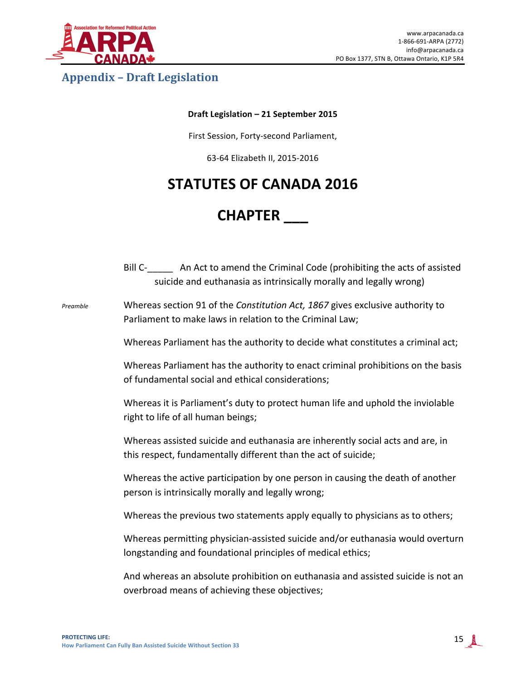

# **Appendix – Draft Legislation**

#### **Draft Legislation – 21 September 2015**

First Session, Forty-second Parliament,

63-64 Elizabeth II, 2015-2016

# **STATUTES OF CANADA 2016**

# **CHAPTER \_\_\_**

|          | Bill C-________ An Act to amend the Criminal Code (prohibiting the acts of assisted<br>suicide and euthanasia as intrinsically morally and legally wrong) |
|----------|-----------------------------------------------------------------------------------------------------------------------------------------------------------|
| Preamble | Whereas section 91 of the Constitution Act, 1867 gives exclusive authority to<br>Parliament to make laws in relation to the Criminal Law;                 |
|          | Whereas Parliament has the authority to decide what constitutes a criminal act;                                                                           |
|          | Whereas Parliament has the authority to enact criminal prohibitions on the basis<br>of fundamental social and ethical considerations;                     |
|          | Whereas it is Parliament's duty to protect human life and uphold the inviolable<br>right to life of all human beings;                                     |
|          | Whereas assisted suicide and euthanasia are inherently social acts and are, in<br>this respect, fundamentally different than the act of suicide;          |
|          | Whereas the active participation by one person in causing the death of another<br>person is intrinsically morally and legally wrong;                      |
|          | Whereas the previous two statements apply equally to physicians as to others;                                                                             |
|          | Whereas permitting physician-assisted suicide and/or euthanasia would overturn<br>longstanding and foundational principles of medical ethics;             |
|          | And whereas an absolute prohibition on euthanasia and assisted suicide is not an<br>overbroad means of achieving these objectives;                        |
|          |                                                                                                                                                           |